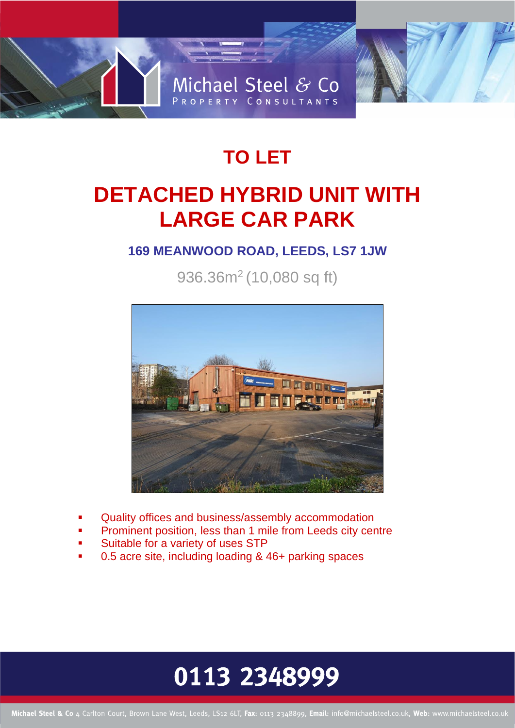

### **TO LET**

### **DETACHED HYBRID UNIT WITH LARGE CAR PARK**

### **169 MEANWOOD ROAD, LEEDS, LS7 1JW**

936.36m<sup>2</sup> (10,080 sq ft)



- Quality offices and business/assembly accommodation
- Prominent position, less than 1 mile from Leeds city centre
- Suitable for a variety of uses STP
- 0.5 acre site, including loading & 46+ parking spaces

## 0113 2348999

Michael Steel & Co 4 Carlton Court, Brown Lane West, Leeds, LS12 6LT, Fax: 0113 2348899, Email: info@michaelsteel.co.uk, Web: www.michaelsteel.co.uk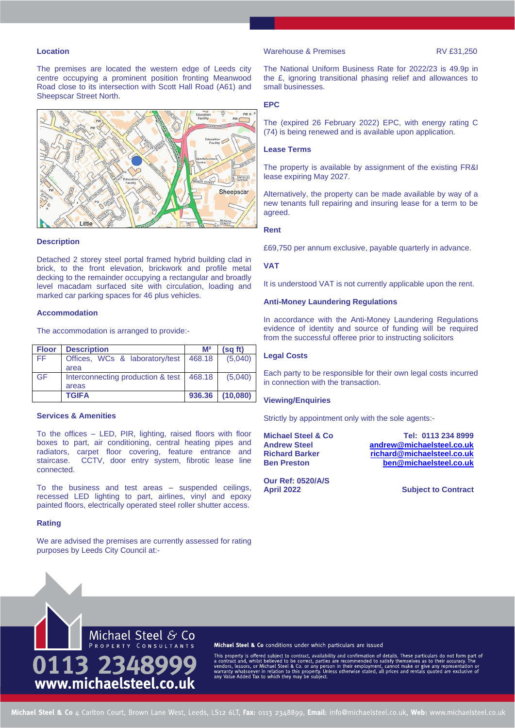#### **Location**

The premises are located the western edge of Leeds city centre occupying a prominent position fronting Meanwood Road close to its intersection with Scott Hall Road (A61) and Sheepscar Street North.



#### **Description**

Detached 2 storey steel portal framed hybrid building clad in brick, to the front elevation, brickwork and profile metal decking to the remainder occupying a rectangular and broadly level macadam surfaced site with circulation, loading and marked car parking spaces for 46 plus vehicles.

#### **Accommodation**

The accommodation is arranged to provide:-

| <b>Floor</b> | <b>Description</b>                | M <sup>2</sup> | (sg ft)  |
|--------------|-----------------------------------|----------------|----------|
| FF.          | Offices, WCs & laboratory/test    | 468.18         | (5.040)  |
|              | area                              |                |          |
| GF           | Interconnecting production & test | 468.18         | (5.040)  |
|              | areas                             |                |          |
|              | <b>TGIFA</b>                      | 936.36         | (10,080) |

#### **Services & Amenities**

To the offices – LED, PIR, lighting, raised floors with floor boxes to part, air conditioning, central heating pipes and radiators, carpet floor covering, feature entrance and staircase. CCTV, door entry system, fibrotic lease line connected.

To the business and test areas – suspended ceilings, recessed LED lighting to part, airlines, vinyl and epoxy painted floors, electrically operated steel roller shutter access.

#### **Rating**

We are advised the premises are currently assessed for rating purposes by Leeds City Council at:-

#### Warehouse & Premises RV £31,250

The National Uniform Business Rate for 2022/23 is 49.9p in the £, ignoring transitional phasing relief and allowances to small businesses.

#### **EPC**

The (expired 26 February 2022) EPC, with energy rating C (74) is being renewed and is available upon application.

#### **Lease Terms**

The property is available by assignment of the existing FR&I lease expiring May 2027.

Alternatively, the property can be made available by way of a new tenants full repairing and insuring lease for a term to be agreed.

#### **Rent**

£69,750 per annum exclusive, payable quarterly in advance.

#### **VAT**

It is understood VAT is not currently applicable upon the rent.

#### **Anti-Money Laundering Regulations**

In accordance with the Anti-Money Laundering Regulations evidence of identity and source of funding will be required from the successful offeree prior to instructing solicitors

#### **Legal Costs**

Each party to be responsible for their own legal costs incurred in connection with the transaction.

#### **Viewing/Enquiries**

Strictly by appointment only with the sole agents:-

**Michael Steel & Co Tel: 0113 234 8999 Andrew Steel [andrew@michaelsteel.co.uk](mailto:andrew@michaelsteel.co.uk) Richard Barker [richard@michaelsteel.co.uk](mailto:richard@michaelsteel.co.uk) Ben Preston [ben@michaelsteel.co.uk](mailto:ben@michaelsteel.co.uk)**

**Our Ref: 0520/A/S April 2022 Subject to Contract**



Michael Steel & Co conditions under which particulars are issued

This property is offered subject to contract, availability and confirmation of details. These particulars do not form part of a contract and, whilst believed to be correct, parties are recommended to satisfy themselves as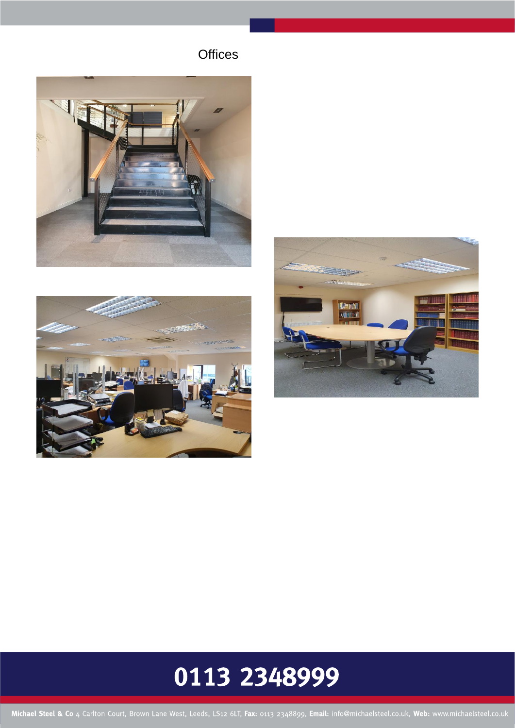**Offices** 







# 0113 2348999

Michael Steel & Co 4 Carlton Court, Brown Lane West, Leeds, LS12 6LT, Fax: 0113 2348899, Email: info@michaelsteel.co.uk, Web: www.michaelsteel.co.uk